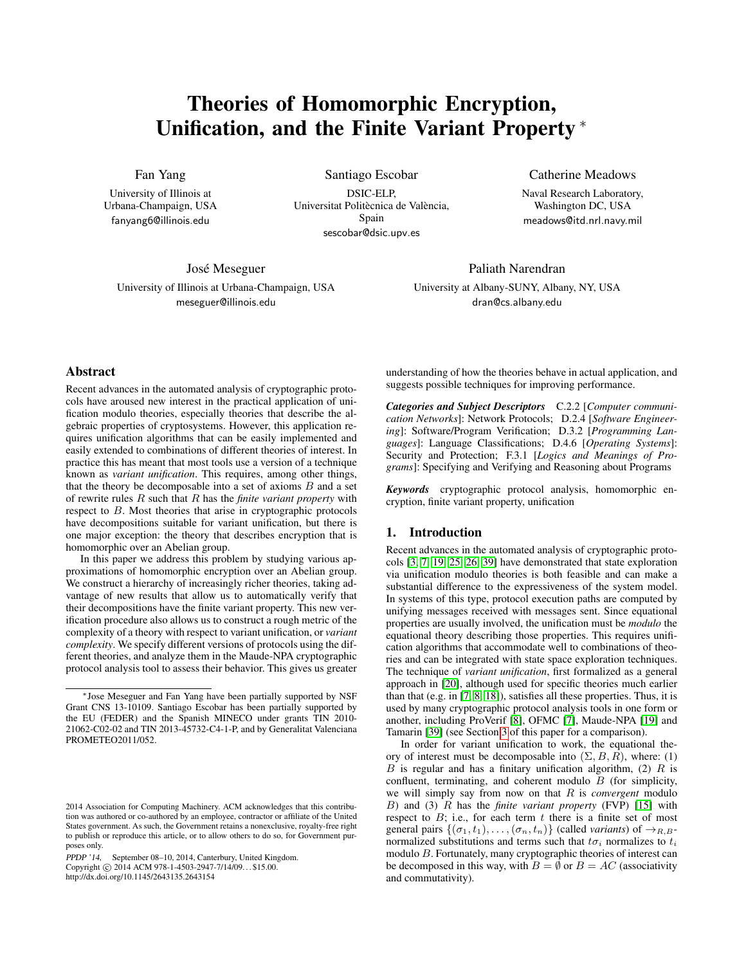# Theories of Homomorphic Encryption, Unification, and the Finite Variant Property <sup>∗</sup>

Fan Yang

University of Illinois at Urbana-Champaign, USA fanyang6@illinois.edu

Santiago Escobar

DSIC-ELP, Universitat Politècnica de València, Spain sescobar@dsic.upv.es

José Meseguer University of Illinois at Urbana-Champaign, USA meseguer@illinois.edu

Catherine Meadows

Naval Research Laboratory, Washington DC, USA meadows@itd.nrl.navy.mil

Paliath Narendran University at Albany-SUNY, Albany, NY, USA dran@cs.albany.edu

# Abstract

Recent advances in the automated analysis of cryptographic protocols have aroused new interest in the practical application of unification modulo theories, especially theories that describe the algebraic properties of cryptosystems. However, this application requires unification algorithms that can be easily implemented and easily extended to combinations of different theories of interest. In practice this has meant that most tools use a version of a technique known as *variant unification*. This requires, among other things, that the theory be decomposable into a set of axioms  $B$  and a set of rewrite rules R such that R has the *finite variant property* with respect to B. Most theories that arise in cryptographic protocols have decompositions suitable for variant unification, but there is one major exception: the theory that describes encryption that is homomorphic over an Abelian group.

In this paper we address this problem by studying various approximations of homomorphic encryption over an Abelian group. We construct a hierarchy of increasingly richer theories, taking advantage of new results that allow us to automatically verify that their decompositions have the finite variant property. This new verification procedure also allows us to construct a rough metric of the complexity of a theory with respect to variant unification, or *variant complexity*. We specify different versions of protocols using the different theories, and analyze them in the Maude-NPA cryptographic protocol analysis tool to assess their behavior. This gives us greater

http://dx.doi.org/10.1145/2643135.2643154

understanding of how the theories behave in actual application, and suggests possible techniques for improving performance.

*Categories and Subject Descriptors* C.2.2 [*Computer communication Networks*]: Network Protocols; D.2.4 [*Software Engineering*]: Software/Program Verification; D.3.2 [*Programming Languages*]: Language Classifications; D.4.6 [*Operating Systems*]: Security and Protection; F.3.1 [*Logics and Meanings of Programs*]: Specifying and Verifying and Reasoning about Programs

*Keywords* cryptographic protocol analysis, homomorphic encryption, finite variant property, unification

## 1. Introduction

Recent advances in the automated analysis of cryptographic protocols [\[3,](#page-9-0) [7,](#page-9-1) [19,](#page-10-0) [25,](#page-10-1) [26,](#page-10-2) [39\]](#page-10-3) have demonstrated that state exploration via unification modulo theories is both feasible and can make a substantial difference to the expressiveness of the system model. In systems of this type, protocol execution paths are computed by unifying messages received with messages sent. Since equational properties are usually involved, the unification must be *modulo* the equational theory describing those properties. This requires unification algorithms that accommodate well to combinations of theories and can be integrated with state space exploration techniques. The technique of *variant unification*, first formalized as a general approach in [\[20\]](#page-10-4), although used for specific theories much earlier than that (e.g. in [\[7,](#page-9-1) [8,](#page-9-2) [18\]](#page-10-5)), satisfies all these properties. Thus, it is used by many cryptographic protocol analysis tools in one form or another, including ProVerif [\[8\]](#page-9-2), OFMC [\[7\]](#page-9-1), Maude-NPA [\[19\]](#page-10-0) and Tamarin [\[39\]](#page-10-3) (see Section [3](#page-3-0) of this paper for a comparison).

In order for variant unification to work, the equational theory of interest must be decomposable into  $(\Sigma, B, R)$ , where: (1) B is regular and has a finitary unification algorithm, (2)  $R$  is confluent, terminating, and coherent modulo  $B$  (for simplicity, we will simply say from now on that R is *convergent* modulo B) and (3) R has the *finite variant property* (FVP) [\[15\]](#page-10-6) with respect to  $B$ ; i.e., for each term  $t$  there is a finite set of most general pairs  $\{(\sigma_1, t_1), \ldots, (\sigma_n, t_n)\}$  (called *variants*) of  $\rightarrow_{R,B}$ normalized substitutions and terms such that  $t\sigma_i$  normalizes to  $t_i$ modulo B. Fortunately, many cryptographic theories of interest can be decomposed in this way, with  $B = \emptyset$  or  $B = AC$  (associativity and commutativity).

<sup>∗</sup>Jose Meseguer and Fan Yang have been partially supported by NSF Grant CNS 13-10109. Santiago Escobar has been partially supported by the EU (FEDER) and the Spanish MINECO under grants TIN 2010- 21062-C02-02 and TIN 2013-45732-C4-1-P, and by Generalitat Valenciana PROMETEO2011/052.

<sup>2014</sup> Association for Computing Machinery. ACM acknowledges that this contribution was authored or co-authored by an employee, contractor or affiliate of the United States government. As such, the Government retains a nonexclusive, royalty-free right to publish or reproduce this article, or to allow others to do so, for Government purposes only.

PPDP '14, September 08–10, 2014, Canterbury, United Kingdom. Copyright © 2014 ACM 978-1-4503-2947-7/14/09... \$15.00.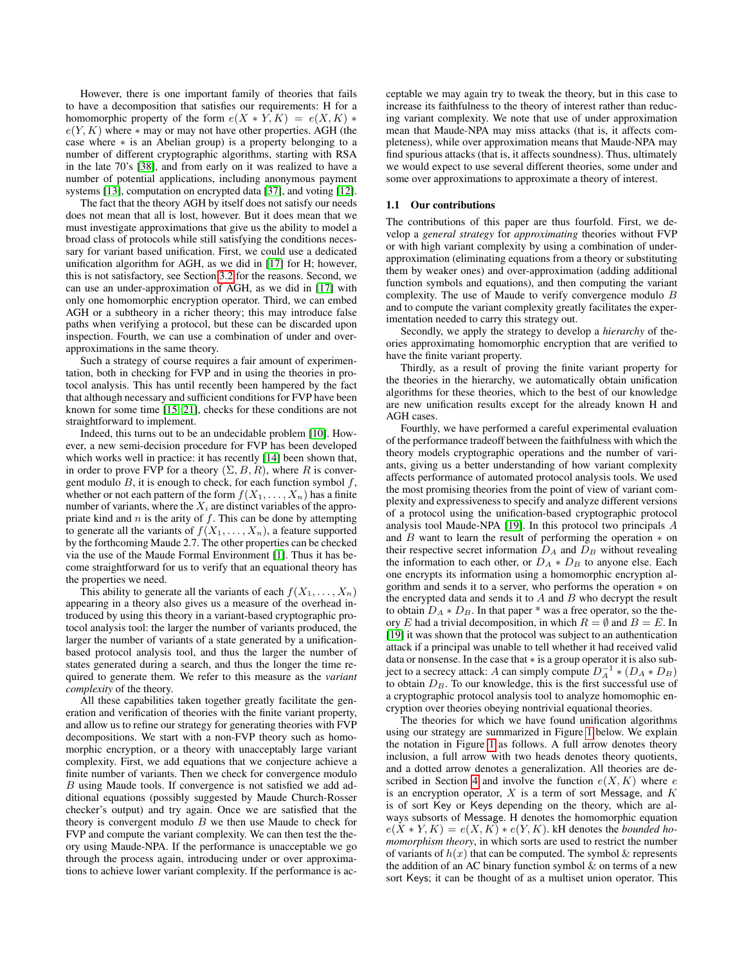However, there is one important family of theories that fails to have a decomposition that satisfies our requirements: H for a homomorphic property of the form  $e(X * Y, K) = e(X, K) *$  $e(Y, K)$  where  $*$  may or may not have other properties. AGH (the case where ∗ is an Abelian group) is a property belonging to a number of different cryptographic algorithms, starting with RSA in the late 70's [\[38\]](#page-10-7), and from early on it was realized to have a number of potential applications, including anonymous payment systems [\[13\]](#page-9-3), computation on encrypted data [\[37\]](#page-10-8), and voting [\[12\]](#page-9-4).

The fact that the theory AGH by itself does not satisfy our needs does not mean that all is lost, however. But it does mean that we must investigate approximations that give us the ability to model a broad class of protocols while still satisfying the conditions necessary for variant based unification. First, we could use a dedicated unification algorithm for AGH, as we did in [\[17\]](#page-10-9) for H; however, this is not satisfactory, see Section [3.2](#page-3-1) for the reasons. Second, we can use an under-approximation of AGH, as we did in [\[17\]](#page-10-9) with only one homomorphic encryption operator. Third, we can embed AGH or a subtheory in a richer theory; this may introduce false paths when verifying a protocol, but these can be discarded upon inspection. Fourth, we can use a combination of under and overapproximations in the same theory.

Such a strategy of course requires a fair amount of experimentation, both in checking for FVP and in using the theories in protocol analysis. This has until recently been hampered by the fact that although necessary and sufficient conditions for FVP have been known for some time [\[15,](#page-10-6) [21\]](#page-10-10), checks for these conditions are not straightforward to implement.

Indeed, this turns out to be an undecidable problem [\[10\]](#page-9-5). However, a new semi-decision procedure for FVP has been developed which works well in practice: it has recently [\[14\]](#page-10-11) been shown that, in order to prove FVP for a theory  $(\Sigma, B, R)$ , where R is convergent modulo  $B$ , it is enough to check, for each function symbol  $f$ , whether or not each pattern of the form  $f(X_1, \ldots, X_n)$  has a finite number of variants, where the  $X_i$  are distinct variables of the appropriate kind and  $n$  is the arity of  $f$ . This can be done by attempting to generate all the variants of  $f(X_1, \ldots, X_n)$ , a feature supported by the forthcoming Maude 2.7. The other properties can be checked via the use of the Maude Formal Environment [\[1\]](#page-9-6). Thus it has become straightforward for us to verify that an equational theory has the properties we need.

This ability to generate all the variants of each  $f(X_1, \ldots, X_n)$ appearing in a theory also gives us a measure of the overhead introduced by using this theory in a variant-based cryptographic protocol analysis tool: the larger the number of variants produced, the larger the number of variants of a state generated by a unificationbased protocol analysis tool, and thus the larger the number of states generated during a search, and thus the longer the time required to generate them. We refer to this measure as the *variant complexity* of the theory.

All these capabilities taken together greatly facilitate the generation and verification of theories with the finite variant property, and allow us to refine our strategy for generating theories with FVP decompositions. We start with a non-FVP theory such as homomorphic encryption, or a theory with unacceptably large variant complexity. First, we add equations that we conjecture achieve a finite number of variants. Then we check for convergence modulo B using Maude tools. If convergence is not satisfied we add additional equations (possibly suggested by Maude Church-Rosser checker's output) and try again. Once we are satisfied that the theory is convergent modulo  $B$  we then use Maude to check for FVP and compute the variant complexity. We can then test the theory using Maude-NPA. If the performance is unacceptable we go through the process again, introducing under or over approximations to achieve lower variant complexity. If the performance is acceptable we may again try to tweak the theory, but in this case to increase its faithfulness to the theory of interest rather than reducing variant complexity. We note that use of under approximation mean that Maude-NPA may miss attacks (that is, it affects completeness), while over approximation means that Maude-NPA may find spurious attacks (that is, it affects soundness). Thus, ultimately we would expect to use several different theories, some under and some over approximations to approximate a theory of interest.

#### 1.1 Our contributions

The contributions of this paper are thus fourfold. First, we develop a *general strategy* for *approximating* theories without FVP or with high variant complexity by using a combination of underapproximation (eliminating equations from a theory or substituting them by weaker ones) and over-approximation (adding additional function symbols and equations), and then computing the variant complexity. The use of Maude to verify convergence modulo B and to compute the variant complexity greatly facilitates the experimentation needed to carry this strategy out.

Secondly, we apply the strategy to develop a *hierarchy* of theories approximating homomorphic encryption that are verified to have the finite variant property.

Thirdly, as a result of proving the finite variant property for the theories in the hierarchy, we automatically obtain unification algorithms for these theories, which to the best of our knowledge are new unification results except for the already known H and AGH cases.

Fourthly, we have performed a careful experimental evaluation of the performance tradeoff between the faithfulness with which the theory models cryptographic operations and the number of variants, giving us a better understanding of how variant complexity affects performance of automated protocol analysis tools. We used the most promising theories from the point of view of variant complexity and expressiveness to specify and analyze different versions of a protocol using the unification-based cryptographic protocol analysis tool Maude-NPA [\[19\]](#page-10-0). In this protocol two principals A and  $B$  want to learn the result of performing the operation  $*$  on their respective secret information  $D_A$  and  $D_B$  without revealing the information to each other, or  $D_A * D_B$  to anyone else. Each one encrypts its information using a homomorphic encryption algorithm and sends it to a server, who performs the operation ∗ on the encrypted data and sends it to  $A$  and  $B$  who decrypt the result to obtain  $D_A * D_B$ . In that paper \* was a free operator, so the theory E had a trivial decomposition, in which  $R = \emptyset$  and  $B = E$ . In [\[19\]](#page-10-0) it was shown that the protocol was subject to an authentication attack if a principal was unable to tell whether it had received valid data or nonsense. In the case that ∗ is a group operator it is also subject to a secrecy attack: A can simply compute  $D_A^{-1} * (D_A * D_B)$ to obtain  $D<sub>B</sub>$ . To our knowledge, this is the first successful use of a cryptographic protocol analysis tool to analyze homomophic encryption over theories obeying nontrivial equational theories.

The theories for which we have found unification algorithms using our strategy are summarized in Figure [1](#page-2-0) below. We explain the notation in Figure [1](#page-2-0) as follows. A full arrow denotes theory inclusion, a full arrow with two heads denotes theory quotients, and a dotted arrow denotes a generalization. All theories are de-scribed in Section [4](#page-4-0) and involve the function  $e(X, K)$  where e is an encryption operator,  $X$  is a term of sort Message, and  $K$ is of sort Key or Keys depending on the theory, which are always subsorts of Message. H denotes the homomorphic equation  $e(X * Y, K) = e(X, K) * e(Y, K)$ . kH denotes the *bounded homomorphism theory*, in which sorts are used to restrict the number of variants of  $h(x)$  that can be computed. The symbol  $\&$  represents the addition of an AC binary function symbol  $\&$  on terms of a new sort Keys; it can be thought of as a multiset union operator. This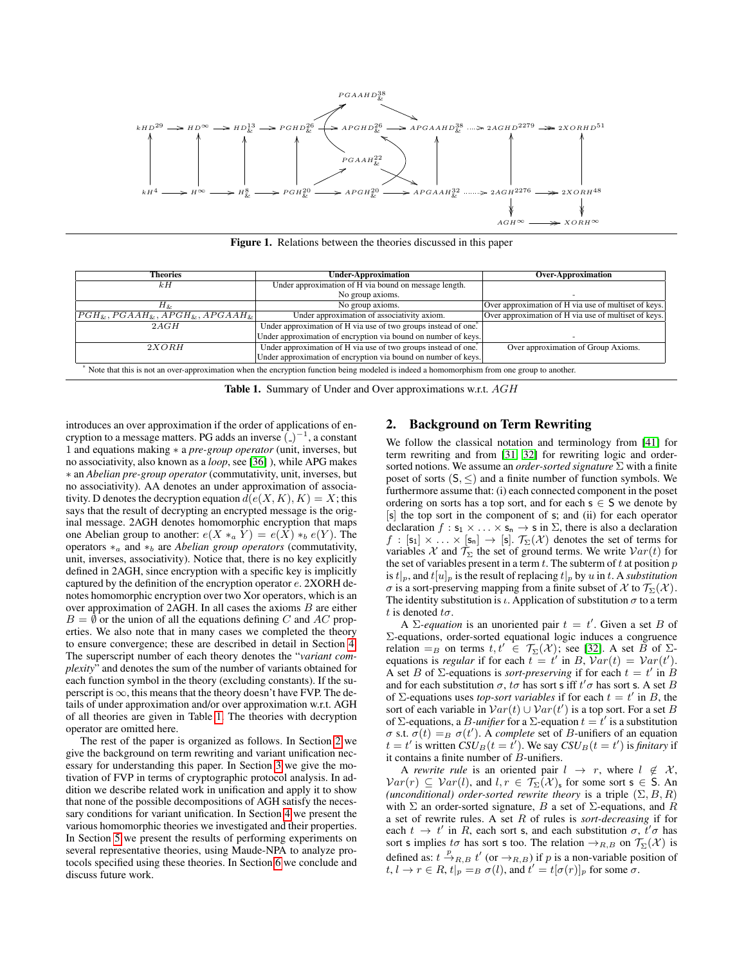

<span id="page-2-0"></span>Figure 1. Relations between the theories discussed in this paper

| <b>Theories</b>                                                                                                                            | <b>Under-Approximation</b>                                     | <b>Over-Approximation</b>                            |  |  |  |  |
|--------------------------------------------------------------------------------------------------------------------------------------------|----------------------------------------------------------------|------------------------------------------------------|--|--|--|--|
| kH                                                                                                                                         | Under approximation of H via bound on message length.          |                                                      |  |  |  |  |
|                                                                                                                                            | No group axioms.                                               |                                                      |  |  |  |  |
| $H_{\&}$                                                                                                                                   | No group axioms.                                               | Over approximation of H via use of multiset of keys. |  |  |  |  |
| $[PGH_{k}, PGAAH_{k}, APGH_{k}, APGAAH_{k}]$                                                                                               | Under approximation of associativity axiom.                    | Over approximation of H via use of multiset of keys. |  |  |  |  |
| 2AGH                                                                                                                                       | Under approximation of H via use of two groups instead of one. |                                                      |  |  |  |  |
|                                                                                                                                            | Under approximation of encryption via bound on number of keys. |                                                      |  |  |  |  |
| 2XORH                                                                                                                                      | Under approximation of H via use of two groups instead of one. | Over approximation of Group Axioms.                  |  |  |  |  |
|                                                                                                                                            | Under approximation of encryption via bound on number of keys. |                                                      |  |  |  |  |
| Note that this is not an over-approximation when the encryption function being modeled is indeed a homomorphism from one group to another. |                                                                |                                                      |  |  |  |  |

<span id="page-2-1"></span>Table 1. Summary of Under and Over approximations w.r.t. AGH

introduces an over approximation if the order of applications of encryption to a message matters. PG adds an inverse  $\hat{(-)}^{-1}$ , a constant 1 and equations making ∗ a *pre-group operator* (unit, inverses, but no associativity, also known as a *loop*, see [\[36\]](#page-10-12) ), while APG makes ∗ an *Abelian pre-group operator* (commutativity, unit, inverses, but no associativity). AA denotes an under approximation of associativity. D denotes the decryption equation  $d(e(X, K), K) = X$ ; this says that the result of decrypting an encrypted message is the original message. 2AGH denotes homomorphic encryption that maps one Abelian group to another:  $e(X *_a Y) = e(X) *_b e(Y)$ . The operators ∗<sup>a</sup> and ∗<sup>b</sup> are *Abelian group operators* (commutativity, unit, inverses, associativity). Notice that, there is no key explicitly defined in 2AGH, since encryption with a specific key is implicitly captured by the definition of the encryption operator e. 2XORH denotes homomorphic encryption over two Xor operators, which is an over approximation of  $2AGH$ . In all cases the axioms  $B$  are either  $B = \emptyset$  or the union of all the equations defining C and AC properties. We also note that in many cases we completed the theory to ensure convergence; these are described in detail in Section [4.](#page-4-0) The superscript number of each theory denotes the "*variant complexity*" and denotes the sum of the number of variants obtained for each function symbol in the theory (excluding constants). If the superscript is  $\infty$ , this means that the theory doesn't have FVP. The details of under approximation and/or over approximation w.r.t. AGH of all theories are given in Table [1.](#page-2-1) The theories with decryption operator are omitted here.

The rest of the paper is organized as follows. In Section [2](#page-2-2) we give the background on term rewriting and variant unification necessary for understanding this paper. In Section [3](#page-3-0) we give the motivation of FVP in terms of cryptographic protocol analysis. In addition we describe related work in unification and apply it to show that none of the possible decompositions of AGH satisfy the necessary conditions for variant unification. In Section [4](#page-4-0) we present the various homomorphic theories we investigated and their properties. In Section [5](#page-7-0) we present the results of performing experiments on several representative theories, using Maude-NPA to analyze protocols specified using these theories. In Section [6](#page-8-0) we conclude and discuss future work.

# <span id="page-2-2"></span>2. Background on Term Rewriting

We follow the classical notation and terminology from [\[41\]](#page-10-13) for term rewriting and from [\[31,](#page-10-14) [32\]](#page-10-15) for rewriting logic and ordersorted notions. We assume an *order-sorted signature* Σ with a finite poset of sorts  $(S, \leq)$  and a finite number of function symbols. We furthermore assume that: (i) each connected component in the poset ordering on sorts has a top sort, and for each  $s \in S$  we denote by [s] the top sort in the component of s; and (ii) for each operator declaration  $f : s_1 \times \ldots \times s_n \to s$  in  $\Sigma$ , there is also a declaration  $f:[{\sf s}_1]\times\ldots\times[{\sf s}_n]\to [{\sf s}].$   $\mathcal{T}_{\Sigma}(\mathcal{X})$  denotes the set of terms for variables X and  $\mathcal{T}_{\Sigma}$  the set of ground terms. We write  $Var(t)$  for the set of variables present in a term  $t$ . The subterm of  $t$  at position  $p$ is  $t|_p$ , and  $t[u]_p$  is the result of replacing  $t|_p$  by u in t. A *substitution* σ is a sort-preserving mapping from a finite subset of X to  $\mathcal{T}_{\Sigma}(\mathcal{X})$ . The identity substitution is  $\iota$ . Application of substitution  $\sigma$  to a term t is denoted  $t\sigma$ .

A  $\Sigma$ -equation is an unoriented pair  $t = t'$ . Given a set B of Σ-equations, order-sorted equational logic induces a congruence relation = B on terms  $t, t' \in \mathcal{T}_{\Sigma}(\mathcal{X})$ ; see [\[32\]](#page-10-15). A set B of  $\Sigma$ equations is *regular* if for each  $t = t'$  in B,  $Var(t) = Var(t')$ . A set B of  $\Sigma$ -equations is *sort-preserving* if for each  $t = t'$  in B and for each substitution  $\sigma$ ,  $t\sigma$  has sort s iff  $t'\sigma$  has sort s. A set B of  $\Sigma$ -equations uses *top-sort variables* if for each  $t = t'$  in B, the sort of each variable in  $Var(t) \cup Var(t')$  is a top sort. For a set B of  $\Sigma$ -equations, a *B*-*unifier* for a  $\Sigma$ -equation  $t = t'$  is a substitution  $\sigma$  s.t.  $\sigma(t) = B \sigma(t')$ . A *complete* set of *B*-unifiers of an equation  $t = t'$  is written  $\dot{CSU}_B(t = \dot{t}')$ . We say  $\dot{CSU}_B(t = t')$  is *finitary* if it contains a finite number of B-unifiers.

A *rewrite rule* is an oriented pair  $l \rightarrow r$ , where  $l \notin \mathcal{X}$ ,  $Var(r) \subseteq Var(l)$ , and  $l, r \in \mathcal{T}_{\Sigma}(\mathcal{X})_s$  for some sort  $s \in S$ . An *(unconditional) order-sorted rewrite theory* is a triple  $(\Sigma, B, R)$ with  $\Sigma$  an order-sorted signature, B a set of  $\Sigma$ -equations, and R a set of rewrite rules. A set R of rules is *sort-decreasing* if for each  $t \to t'$  in R, each sort s, and each substitution  $\sigma, t' \sigma$  has sort s implies to has sort s too. The relation  $\rightarrow_{R,B}$  on  $\mathcal{T}_{\Sigma}(\mathcal{X})$  is defined as:  $t \stackrel{p}{\rightarrow}_{R,B} t'$  (or  $\rightarrow_{R,B}$ ) if p is a non-variable position of  $t, l \to r \in R$ ,  $t|_p = B \sigma(l)$ , and  $t' = t[\sigma(r)]_p$  for some  $\sigma$ .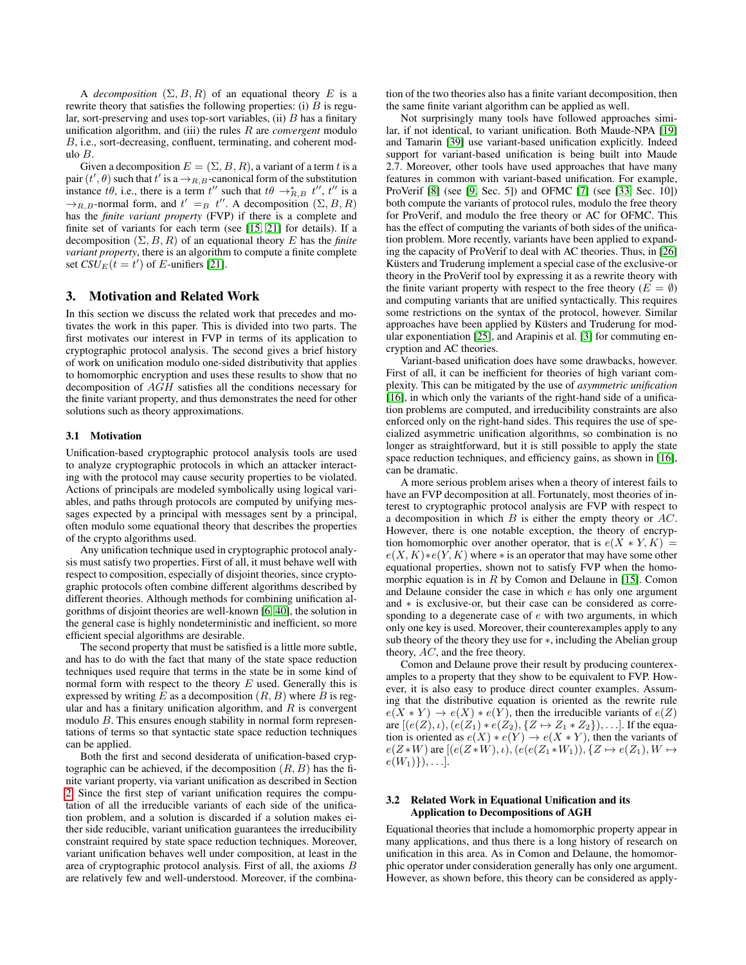A *decomposition*  $(\Sigma, B, R)$  of an equational theory E is a rewrite theory that satisfies the following properties: (i)  $B$  is regular, sort-preserving and uses top-sort variables,  $(ii)$   $B$  has a finitary unification algorithm, and (iii) the rules R are *convergent* modulo B, i.e., sort-decreasing, confluent, terminating, and coherent modulo B.

Given a decomposition  $E = (\Sigma, B, R)$ , a variant of a term t is a pair  $(t', \theta)$  such that  $t'$  is a  $\rightarrow_{R,B}$ -canonical form of the substitution instance  $t\theta$ , i.e., there is a term  $t''$  such that  $t\theta \rightarrow_{R,B}^* t''$ ,  $t''$  is a  $\rightarrow_{R,B}$ -normal form, and  $t' =_B t''$ . A decomposition  $(\Sigma, B, R)$ has the *finite variant property* (FVP) if there is a complete and finite set of variants for each term (see [\[15,](#page-10-6) [21\]](#page-10-10) for details). If a decomposition  $(\Sigma, B, R)$  of an equational theory E has the *finite variant property*, there is an algorithm to compute a finite complete set  $CSU_E(t = t')$  of E-unifiers [\[21\]](#page-10-10).

# <span id="page-3-0"></span>3. Motivation and Related Work

In this section we discuss the related work that precedes and motivates the work in this paper. This is divided into two parts. The first motivates our interest in FVP in terms of its application to cryptographic protocol analysis. The second gives a brief history of work on unification modulo one-sided distributivity that applies to homomorphic encryption and uses these results to show that no decomposition of AGH satisfies all the conditions necessary for the finite variant property, and thus demonstrates the need for other solutions such as theory approximations.

#### 3.1 Motivation

Unification-based cryptographic protocol analysis tools are used to analyze cryptographic protocols in which an attacker interacting with the protocol may cause security properties to be violated. Actions of principals are modeled symbolically using logical variables, and paths through protocols are computed by unifying messages expected by a principal with messages sent by a principal, often modulo some equational theory that describes the properties of the crypto algorithms used.

Any unification technique used in cryptographic protocol analysis must satisfy two properties. First of all, it must behave well with respect to composition, especially of disjoint theories, since cryptographic protocols often combine different algorithms described by different theories. Although methods for combining unification algorithms of disjoint theories are well-known [\[6,](#page-9-7) [40\]](#page-10-16), the solution in the general case is highly nondeterministic and inefficient, so more efficient special algorithms are desirable.

The second property that must be satisfied is a little more subtle, and has to do with the fact that many of the state space reduction techniques used require that terms in the state be in some kind of normal form with respect to the theory  $E$  used. Generally this is expressed by writing  $E$  as a decomposition  $(R, B)$  where  $B$  is regular and has a finitary unification algorithm, and  $R$  is convergent modulo B. This ensures enough stability in normal form representations of terms so that syntactic state space reduction techniques can be applied.

Both the first and second desiderata of unification-based cryptographic can be achieved, if the decomposition  $(R, B)$  has the finite variant property, via variant unification as described in Section [2.](#page-2-2) Since the first step of variant unification requires the computation of all the irreducible variants of each side of the unification problem, and a solution is discarded if a solution makes either side reducible, variant unification guarantees the irreducibility constraint required by state space reduction techniques. Moreover, variant unification behaves well under composition, at least in the area of cryptographic protocol analysis. First of all, the axioms B are relatively few and well-understood. Moreover, if the combination of the two theories also has a finite variant decomposition, then the same finite variant algorithm can be applied as well.

Not surprisingly many tools have followed approaches similar, if not identical, to variant unification. Both Maude-NPA [\[19\]](#page-10-0) and Tamarin [\[39\]](#page-10-3) use variant-based unification explicitly. Indeed support for variant-based unification is being built into Maude 2.7. Moreover, other tools have used approaches that have many features in common with variant-based unification. For example, ProVerif [\[8\]](#page-9-2) (see [\[9,](#page-9-8) Sec. 5]) and OFMC [\[7\]](#page-9-1) (see [\[33,](#page-10-17) Sec. 10]) both compute the variants of protocol rules, modulo the free theory for ProVerif, and modulo the free theory or AC for OFMC. This has the effect of computing the variants of both sides of the unification problem. More recently, variants have been applied to expanding the capacity of ProVerif to deal with AC theories. Thus, in [\[26\]](#page-10-2) Küsters and Truderung implement a special case of the exclusive-or theory in the ProVerif tool by expressing it as a rewrite theory with the finite variant property with respect to the free theory ( $E = \emptyset$ ) and computing variants that are unified syntactically. This requires some restrictions on the syntax of the protocol, however. Similar approaches have been applied by Küsters and Truderung for modular exponentiation [\[25\]](#page-10-1), and Arapinis et al. [\[3\]](#page-9-0) for commuting encryption and AC theories.

Variant-based unification does have some drawbacks, however. First of all, it can be inefficient for theories of high variant complexity. This can be mitigated by the use of *asymmetric unification* [\[16\]](#page-10-18), in which only the variants of the right-hand side of a unification problems are computed, and irreducibility constraints are also enforced only on the right-hand sides. This requires the use of specialized asymmetric unification algorithms, so combination is no longer as straightforward, but it is still possible to apply the state space reduction techniques, and efficiency gains, as shown in [\[16\]](#page-10-18), can be dramatic.

A more serious problem arises when a theory of interest fails to have an FVP decomposition at all. Fortunately, most theories of interest to cryptographic protocol analysis are FVP with respect to a decomposition in which  $B$  is either the empty theory or  $AC$ . However, there is one notable exception, the theory of encryption homomorphic over another operator, that is  $e(X * Y, K) =$  $e(X, K) * e(Y, K)$  where  $*$  is an operator that may have some other equational properties, shown not to satisfy FVP when the homomorphic equation is in  $R$  by Comon and Delaune in [\[15\]](#page-10-6). Comon and Delaune consider the case in which e has only one argument and ∗ is exclusive-or, but their case can be considered as corresponding to a degenerate case of e with two arguments, in which only one key is used. Moreover, their counterexamples apply to any sub theory of the theory they use for ∗, including the Abelian group theory, AC, and the free theory.

Comon and Delaune prove their result by producing counterexamples to a property that they show to be equivalent to FVP. However, it is also easy to produce direct counter examples. Assuming that the distributive equation is oriented as the rewrite rule  $e(X * Y) \to e(X) * e(Y)$ , then the irreducible variants of  $e(Z)$ are  $[(e(Z), i), (e(Z_1) * e(Z_2), {Z \mapsto Z_1 * Z_2}), \dots]$ . If the equation is oriented as  $e(X) * e(Y) \to e(X * Y)$ , then the variants of  $e(Z*W)$  are  $[(e(Z*W), \iota), (e(e(Z_1*W_1)), \{Z \mapsto e(Z_1), W \mapsto$  $e(W_1)\}, \ldots$ .

## <span id="page-3-1"></span>3.2 Related Work in Equational Unification and its Application to Decompositions of AGH

Equational theories that include a homomorphic property appear in many applications, and thus there is a long history of research on unification in this area. As in Comon and Delaune, the homomorphic operator under consideration generally has only one argument. However, as shown before, this theory can be considered as apply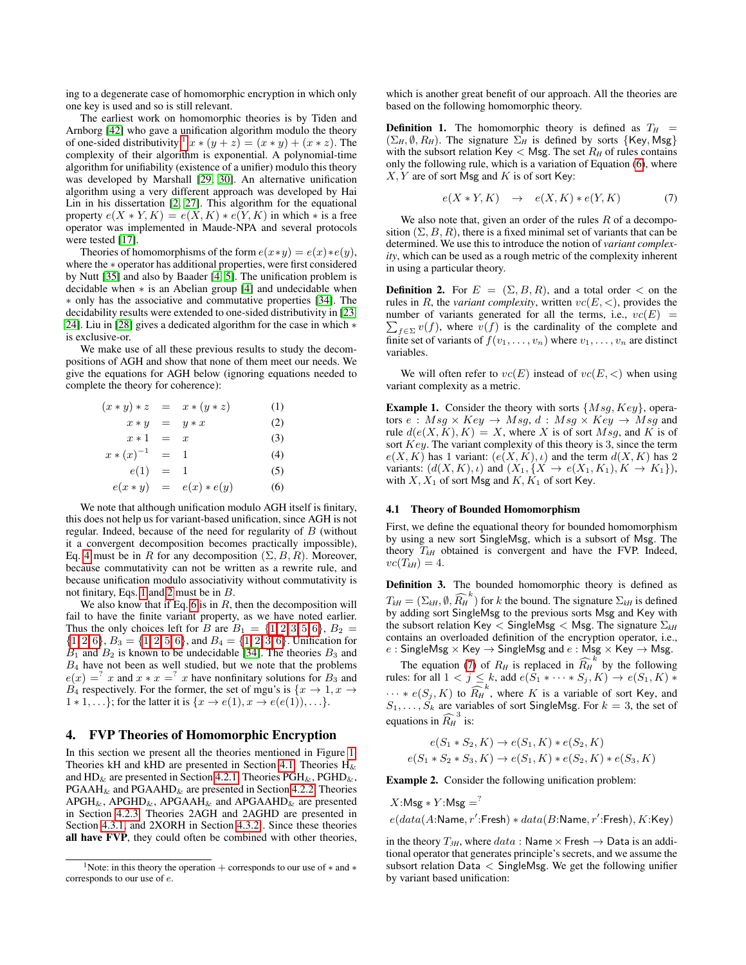ing to a degenerate case of homomorphic encryption in which only one key is used and so is still relevant.

The earliest work on homomorphic theories is by Tiden and Arnborg [\[42\]](#page-10-19) who gave a unification algorithm modulo the theory of one-sided distributivity:<sup>[1](#page-4-1)</sup>  $x * (y + z) = (x * y) + (x * z)$ . The complexity of their algorithm is exponential. A polynomial-time algorithm for unifiability (existence of a unifier) modulo this theory was developed by Marshall [\[29,](#page-10-20) [30\]](#page-10-21). An alternative unification algorithm using a very different approach was developed by Hai Lin in his dissertation [\[2,](#page-9-9) [27\]](#page-10-22). This algorithm for the equational property  $e(X * Y, K) = e(X, K) * e(Y, K)$  in which  $*$  is a free operator was implemented in Maude-NPA and several protocols were tested [\[17\]](#page-10-9).

Theories of homomorphisms of the form  $e(x*y) = e(x)*e(y)$ , where the ∗ operator has additional properties, were first considered by Nutt [\[35\]](#page-10-23) and also by Baader [\[4,](#page-9-10) [5\]](#page-9-11). The unification problem is decidable when ∗ is an Abelian group [\[4\]](#page-9-10) and undecidable when ∗ only has the associative and commutative properties [\[34\]](#page-10-24). The decidability results were extended to one-sided distributivity in [\[23,](#page-10-25) [24\]](#page-10-26). Liu in [\[28\]](#page-10-27) gives a dedicated algorithm for the case in which ∗ is exclusive-or.

We make use of all these previous results to study the decompositions of AGH and show that none of them meet our needs. We give the equations for AGH below (ignoring equations needed to complete the theory for coherence):

<span id="page-4-2"></span>
$$
(x * y) * z = x * (y * z)
$$
(1)  
\n
$$
x * y = y * x
$$
(2)  
\n
$$
x * 1 = x
$$
(3)  
\n
$$
x * (x)^{-1} = 1
$$
(4)  
\n
$$
e(1) = 1
$$
(5)  
\n
$$
e(x * y) = e(x) * e(y)
$$
(6)

We note that although unification modulo AGH itself is finitary, this does not help us for variant-based unification, since AGH is not regular. Indeed, because of the need for regularity of B (without it a convergent decomposition becomes practically impossible), Eq. [4](#page-4-2) must be in R for any decomposition  $(\Sigma, B, R)$ . Moreover, because commutativity can not be written as a rewrite rule, and because unification modulo associativity without commutativity is not finitary, Eqs. [1](#page-4-2) and [2](#page-4-2) must be in B.

We also know that if Eq. [6](#page-4-2) is in  $R$ , then the decomposition will fail to have the finite variant property, as we have noted earlier. Thus the only choices left for B are  $B_1 = \{1, 2, 3, 5, 6\}, B_2 =$  $B_1 = \{1, 2, 3, 5, 6\}, B_2 =$  $B_1 = \{1, 2, 3, 5, 6\}, B_2 =$  $B_1 = \{1, 2, 3, 5, 6\}, B_2 =$  $B_1 = \{1, 2, 3, 5, 6\}, B_2 =$  $B_1 = \{1, 2, 3, 5, 6\}, B_2 =$  $B_1 = \{1, 2, 3, 5, 6\}, B_2 =$  $B_1 = \{1, 2, 3, 5, 6\}, B_2 =$  $B_1 = \{1, 2, 3, 5, 6\}, B_2 =$  $B_1 = \{1, 2, 3, 5, 6\}, B_2 =$  $B_1 = \{1, 2, 3, 5, 6\}, B_2 =$  $\{1, 2, 6\}, B_3 = \{1, 2, 5, 6\}, \text{ and } B_4 = \{1, 2, 3, 6\}.$  $\{1, 2, 6\}, B_3 = \{1, 2, 5, 6\}, \text{ and } B_4 = \{1, 2, 3, 6\}.$  $\{1, 2, 6\}, B_3 = \{1, 2, 5, 6\}, \text{ and } B_4 = \{1, 2, 3, 6\}.$  $\{1, 2, 6\}, B_3 = \{1, 2, 5, 6\}, \text{ and } B_4 = \{1, 2, 3, 6\}.$  $\{1, 2, 6\}, B_3 = \{1, 2, 5, 6\}, \text{ and } B_4 = \{1, 2, 3, 6\}.$  $\{1, 2, 6\}, B_3 = \{1, 2, 5, 6\}, \text{ and } B_4 = \{1, 2, 3, 6\}.$  $\{1, 2, 6\}, B_3 = \{1, 2, 5, 6\}, \text{ and } B_4 = \{1, 2, 3, 6\}.$  $\{1, 2, 6\}, B_3 = \{1, 2, 5, 6\}, \text{ and } B_4 = \{1, 2, 3, 6\}.$  $\{1, 2, 6\}, B_3 = \{1, 2, 5, 6\}, \text{ and } B_4 = \{1, 2, 3, 6\}.$  $\{1, 2, 6\}, B_3 = \{1, 2, 5, 6\}, \text{ and } B_4 = \{1, 2, 3, 6\}.$  $\{1, 2, 6\}, B_3 = \{1, 2, 5, 6\}, \text{ and } B_4 = \{1, 2, 3, 6\}.$  Unification for  $B_1$  and  $B_2$  is known to be undecidable [\[34\]](#page-10-24). The theories  $B_3$  and  $B_4$  have not been as well studied, but we note that the problems  $e(x) = x$  and  $x * x = x$  have nonfinitary solutions for  $B_3$  and  $B_4$  respectively. For the former, the set of mgu's is  $\{x \to 1, x \to$  $1 * 1, \ldots$ ; for the latter it is  $\{x \to e(1), x \to e(e(1)), \ldots\}$ .

# <span id="page-4-0"></span>4. FVP Theories of Homomorphic Encryption

In this section we present all the theories mentioned in Figure [1.](#page-2-0) Theories kH and kHD are presented in Section [4.1.](#page-4-3) Theories  $H_{\&}$ and  $HD_{\&}$  are presented in Section [4.2.1.](#page-5-0) Theories  $PGH_{\&}$ ,  $PGHD_{\&}$ ,  $PGAAH_{\&}$  and  $PGAAHD_{\&}$  are presented in Section [4.2.2.](#page-5-1) Theories  $APGH_{\&}$ , APGHD<sub> $\&$ </sub>, APGAAH<sub> $\&$ </sub> and APGAAHD<sub> $\&$ </sub> are presented in Section [4.2.3.](#page-6-0) Theories 2AGH and 2AGHD are presented in Section [4.3.1,](#page-6-1) and 2XORH in Section [4.3.2](#page-7-1) . Since these theories all have FVP, they could often be combined with other theories,

which is another great benefit of our approach. All the theories are based on the following homomorphic theory.

**Definition 1.** The homomorphic theory is defined as  $T_H$  =  $(\Sigma_H, \emptyset, R_H)$ . The signature  $\Sigma_H$  is defined by sorts {Key, Msg} with the subsort relation Key  $<$  Msg. The set  $R_H$  of rules contains only the following rule, which is a variation of Equation [\(6\)](#page-4-2), where  $X, Y$  are of sort Msg and K is of sort Key:

<span id="page-4-4"></span>
$$
e(X * Y, K) \rightarrow e(X, K) * e(Y, K) \tag{7}
$$

We also note that, given an order of the rules  $R$  of a decomposition  $(\Sigma, B, R)$ , there is a fixed minimal set of variants that can be determined. We use this to introduce the notion of *variant complexity*, which can be used as a rough metric of the complexity inherent in using a particular theory.

**Definition 2.** For  $E = (\Sigma, B, R)$ , and a total order  $\lt$  on the rules in R, the *variant complexity*, written  $vc(E, <)$ , provides the number of variants generated for all the terms, i.e.,  $vc(E)$  = number of variants generated for all the terms, i.e.,  $vc(E) = \sum_{f \in \Sigma} v(f)$ , where  $v(f)$  is the cardinality of the complete and finite set of variants of  $f(v_1, \ldots, v_n)$  where  $v_1, \ldots, v_n$  are distinct variables.

We will often refer to  $vc(E)$  instead of  $vc(E, <)$  when using variant complexity as a metric.

**Example 1.** Consider the theory with sorts  $\{Msg, Key\}$ , operators  $e : Msg \times Key \rightarrow Msg, d : Msg \times Key \rightarrow Msg$  and rule  $d(e(X, K), K) = X$ , where X is of sort Msg, and K is of sort  $Key$ . The variant complexity of this theory is 3, since the term  $e(X, K)$  has 1 variant:  $(e(X, K), \iota)$  and the term  $d(X, K)$  has 2 variants:  $(d(X, K), \iota)$  and  $(X_1, \{X \rightarrow e(X_1, K_1), K \rightarrow K_1\}),$ with  $X, X_1$  of sort Msg and  $K, K_1$  of sort Key.

#### <span id="page-4-3"></span>4.1 Theory of Bounded Homomorphism

First, we define the equational theory for bounded homomorphism by using a new sort SingleMsg, which is a subsort of Msg. The theory T*kH* obtained is convergent and have the FVP. Indeed,  $vc(T_{kH}) = 4.$ 

Definition 3. The bounded homomorphic theory is defined as  $T_{kH} = (\Sigma_{kH}, \hat{\theta}, \widehat{R_H}^k)$  for k the bound. The signature  $\Sigma_{kH}$  is defined by adding sort SingleMsg to the previous sorts Msg and Key with the subsort relation Key < SingleMsg < Msg. The signature Σ*kH* contains an overloaded definition of the encryption operator, i.e., e : SingleMsg  $\times$  Key  $\rightarrow$  SingleMsg and  $e$  : Msg  $\times$  Key  $\rightarrow$  Msg.

The equation [\(7\)](#page-4-4) of  $R_H$  is replaced in  $\widehat{R_H}^k$  by the following rules: for all  $1 < j \leq k$ , add  $e(S_1 * \cdots * S_j, K) \rightarrow e(S_1, K) *$  $\cdots * e(S_j, K)$  to  $\widehat{R_h}^k$ , where K is a variable of sort Key, and  $S_1, \ldots, S_k$  are variables of sort SingleMsg. For  $k = 3$ , the set of equations in  $\widehat{R}_{H}^{3}$  is:

$$
e(S_1 * S_2, K) \to e(S_1, K) * e(S_2, K)
$$
  

$$
e(S_1 * S_2 * S_3, K) \to e(S_1, K) * e(S_2, K) * e(S_3, K)
$$

<span id="page-4-5"></span>Example 2. Consider the following unification problem:

$$
X:\mathsf{Msg}*Y:\mathsf{Msg} = ?
$$

 $e(data(A:\texttt{Name}, r';\texttt{Fresh}) * data(B:\texttt{Name}, r';\texttt{Fresh}), K:\texttt{Key})$ 

in the theory  $T_{3H}$ , where  $data$ : Name  $\times$  Fresh  $\rightarrow$  Data is an additional operator that generates principle's secrets, and we assume the subsort relation Data < SingleMsg. We get the following unifier by variant based unification:

<span id="page-4-1"></span><sup>&</sup>lt;sup>1</sup>Note: in this theory the operation + corresponds to our use of  $*$  and  $*$ corresponds to our use of e.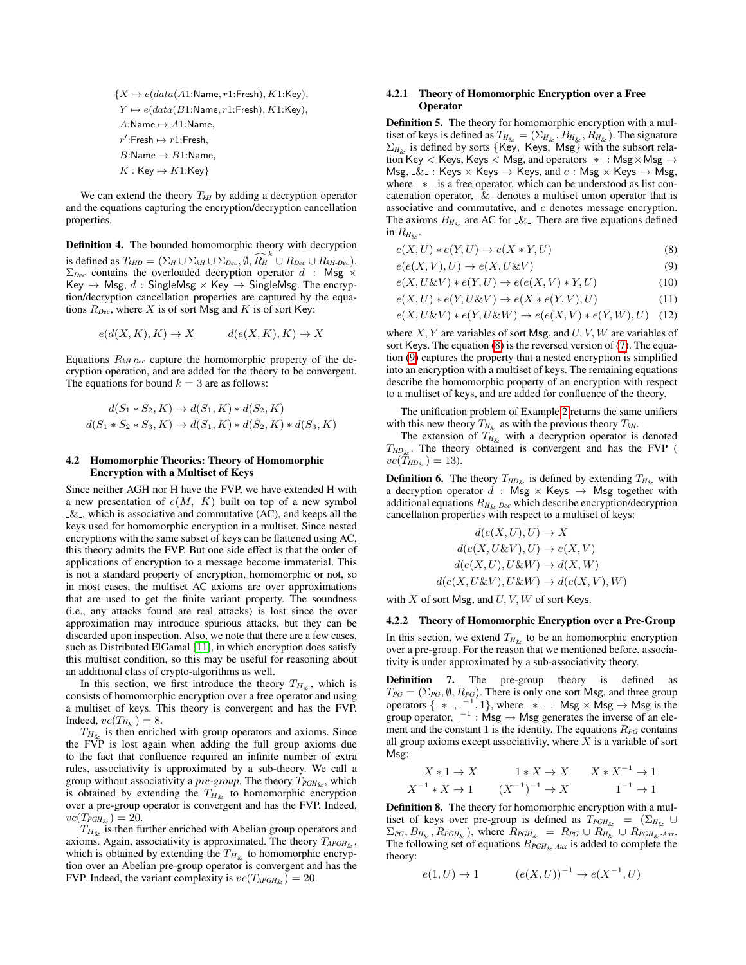${X \mapsto e(data(A1:Name, r1:$ Fresh),  $K1:$ Key),  $Y \mapsto e(data(B1:\textsf{Name}, r1:\textsf{Fresh}), K1:\textsf{Key}),$ A:Name  $\mapsto$  A1:Name,  $r'$ :Fresh  $\mapsto r1$ :Fresh,  $B:\mathsf{Name} \mapsto B1:\mathsf{Name},$  $K : \mathsf{Key} \mapsto K1:\mathsf{Key}$ 

We can extend the theory  $T_{kH}$  by adding a decryption operator and the equations capturing the encryption/decryption cancellation properties.

Definition 4. The bounded homomorphic theory with decryption is defined as  $T_{kHD} = (\sum_H \cup \sum_{b\in C} \emptyset, \widehat{R_H}^k \cup R_{Dec} \cup R_{kH-Dec}).$  $\Sigma_{Dec}$  contains the overloaded decryption operator  $d$  : Msg  $\times$ Key  $\rightarrow$  Msg, d: SingleMsg  $\times$  Key  $\rightarrow$  SingleMsg. The encryption/decryption cancellation properties are captured by the equations  $R_{Dec}$ , where X is of sort Msg and K is of sort Key:

$$
e(d(X, K), K) \to X \qquad d(e(X, K), K) \to X
$$

Equations R*kH-Dec* capture the homomorphic property of the decryption operation, and are added for the theory to be convergent. The equations for bound  $k = 3$  are as follows:

$$
d(S_1 * S_2, K) \to d(S_1, K) * d(S_2, K)
$$
  

$$
d(S_1 * S_2 * S_3, K) \to d(S_1, K) * d(S_2, K) * d(S_3, K)
$$

## 4.2 Homomorphic Theories: Theory of Homomorphic Encryption with a Multiset of Keys

Since neither AGH nor H have the FVP, we have extended H with a new presentation of  $e(M, K)$  built on top of a new symbol  $\&$ , which is associative and commutative (AC), and keeps all the keys used for homomorphic encryption in a multiset. Since nested encryptions with the same subset of keys can be flattened using AC, this theory admits the FVP. But one side effect is that the order of applications of encryption to a message become immaterial. This is not a standard property of encryption, homomorphic or not, so in most cases, the multiset AC axioms are over approximations that are used to get the finite variant property. The soundness (i.e., any attacks found are real attacks) is lost since the over approximation may introduce spurious attacks, but they can be discarded upon inspection. Also, we note that there are a few cases, such as Distributed ElGamal [\[11\]](#page-9-12), in which encryption does satisfy this multiset condition, so this may be useful for reasoning about an additional class of crypto-algorithms as well.

In this section, we first introduce the theory  $T_{H_{\&}}$ , which is consists of homomorphic encryption over a free operator and using a multiset of keys. This theory is convergent and has the FVP. Indeed,  $vc(T_{H_{\&}}) = 8$ .

 $T_{H<sub>k</sub>}$  is then enriched with group operators and axioms. Since the FVP is lost again when adding the full group axioms due to the fact that confluence required an infinite number of extra rules, associativity is approximated by a sub-theory. We call a group without associativity a *pre-group*. The theory  $T_{PGH_{\&}}$ , which is obtained by extending the  $T_{H_{\&}}$  to homomorphic encryption over a pre-group operator is convergent and has the FVP. Indeed,  $vc(T_{PGH_{\&}})=20.$ 

 $T_{H_{\&}}$  is then further enriched with Abelian group operators and axioms. Again, associativity is approximated. The theory  $T_{APGH_{\&}}$ , which is obtained by extending the  $T_{H_{\&}}$  to homomorphic encryption over an Abelian pre-group operator is convergent and has the FVP. Indeed, the variant complexity is  $vc(T_{APGH_{\kappa}}) = 20$ .

#### <span id="page-5-0"></span>4.2.1 Theory of Homomorphic Encryption over a Free **Operator**

Definition 5. The theory for homomorphic encryption with a multiset of keys is defined as  $T_{H_{\&}} = (\Sigma_{H_{\&}}, B_{H_{\&}}, R_{H_{\&}})$ . The signature  $\Sigma_{H_{\&}}$  is defined by sorts {Key, Keys, Msg} with the subsort relation Key  $<$  Keys, Keys  $<$  Msg, and operators  $\rightarrow$  : Msg  $\times$  Msg  $\rightarrow$ Msg,  $\&$  : Keys  $\times$  Keys  $\rightarrow$  Keys, and  $e$  : Msg  $\times$  Keys  $\rightarrow$  Msg, where  $-\ast$  is a free operator, which can be understood as list concatenation operator,  $\&$  denotes a multiset union operator that is associative and commutative, and e denotes message encryption. The axioms  $B_{H_{\&}}$  are AC for  $\&$ . There are five equations defined in  $R_{H_{\&}}$ .

<span id="page-5-3"></span><span id="page-5-2"></span>
$$
e(X, U) * e(Y, U) \to e(X * Y, U)
$$
\n<sup>(8)</sup>

$$
e(e(X, V), U) \to e(X, U \& V)
$$
\n<sup>(9)</sup>

$$
e(X, U \& V) * e(Y, U) \rightarrow e(e(X, V) * Y, U)
$$
\n<sup>(10)</sup>

$$
e(X, U) * e(Y, U \& V) \rightarrow e(X * e(Y, V), U)
$$
\n<sup>(11)</sup>

$$
e(X, U \& V) * e(Y, U \& W) \rightarrow e(e(X, V) * e(Y, W), U) \quad (12)
$$

where  $X, Y$  are variables of sort Msg, and  $U, V, W$  are variables of sort Keys. The equation [\(8\)](#page-5-2) is the reversed version of [\(7\)](#page-4-4). The equation [\(9\)](#page-5-3) captures the property that a nested encryption is simplified into an encryption with a multiset of keys. The remaining equations describe the homomorphic property of an encryption with respect to a multiset of keys, and are added for confluence of the theory.

The unification problem of Example [2](#page-4-5) returns the same unifiers with this new theory  $T_{H_{\&}}$  as with the previous theory  $T_{kH}$ .

The extension of  $T_{H_{\&}}$  with a decryption operator is denoted  $T_{HD_{\&}}$ . The theory obtained is convergent and has the FVP (  $vc(\hat{T}_{HD_{\&}})=13$ ).

**Definition 6.** The theory  $T_{HD_{\&}}$  is defined by extending  $T_{H_{\&}}$  with a decryption operator d : Msg  $\times$  Keys  $\rightarrow$  Msg together with additional equations  $R_{H_{\&}}$ - $Dec$  which describe encryption/decryption cancellation properties with respect to a multiset of keys:

$$
d(e(X, U), U) \to X
$$
  
\n
$$
d(e(X, U \& V), U) \to e(X, V)
$$
  
\n
$$
d(e(X, U), U \& W) \to d(X, W)
$$
  
\n
$$
d(e(X, U \& V), U \& W) \to d(e(X, V), W)
$$

with  $X$  of sort Msg, and  $U, V, W$  of sort Keys.

#### <span id="page-5-1"></span>4.2.2 Theory of Homomorphic Encryption over a Pre-Group

In this section, we extend  $T_{H_{\&}}$  to be an homomorphic encryption over a pre-group. For the reason that we mentioned before, associativity is under approximated by a sub-associativity theory.

Definition 7. The pre-group theory is defined as  $T_{PG} = (\Sigma_{PG}, \emptyset, R_{PG})$ . There is only one sort Msg, and three group operators  $\{-*,-^{-1},1\}$ , where  $-*$  : Msg  $\times$  Msg  $\rightarrow$  Msg is the group operator,  $-1$ : Msg  $\rightarrow$  Msg generates the inverse of an element and the constant 1 is the identity. The equations R*PG* contains all group axioms except associativity, where  $X$  is a variable of sort Msg:

$$
X * 1 \to X \qquad 1 * X \to X \qquad X * X^{-1} \to 1
$$
  

$$
X^{-1} * X \to 1 \qquad (X^{-1})^{-1} \to X \qquad 1^{-1} \to 1
$$

Definition 8. The theory for homomorphic encryption with a multiset of keys over pre-group is defined as  $T_{PGH_{\&}} = (\Sigma_{H_{\&}} \cup$  $\Sigma_{PG}, B_{H_{\&}}, R_{PGH_{\&}}$ , where  $R_{PGH_{\&}} = R_{PG} \cup R_{H_{\&}} \cup R_{PGH_{\&}}$ -Aux. The following set of equations  $R_{PGH_{\&}Aux}$  is added to complete the theory:

$$
e(1, U) \to 1 \qquad (e(X, U))^{-1} \to e(X^{-1}, U)
$$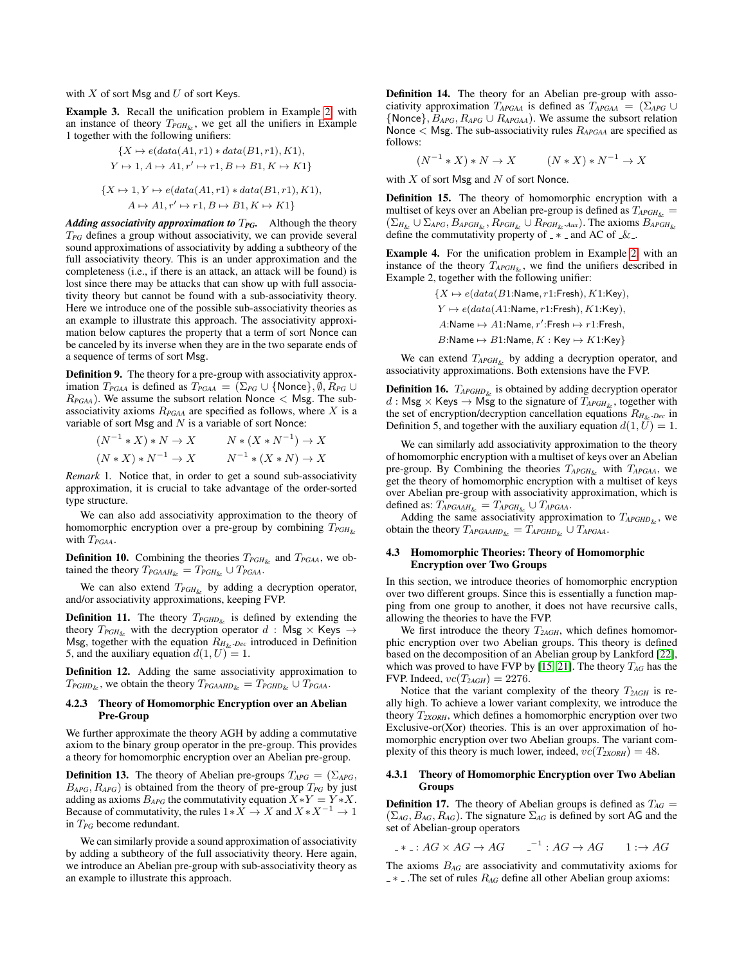with  $X$  of sort Msg and  $U$  of sort Keys.

Example 3. Recall the unification problem in Example [2,](#page-4-5) with an instance of theory  $T_{PGH_{\&}}$ , we get all the unifiers in Example 1 together with the following unifiers:

$$
\{X \mapsto e(data(A1, r1) * data(B1, r1), K1),
$$
  
\n
$$
Y \mapsto 1, A \mapsto A1, r' \mapsto r1, B \mapsto B1, K \mapsto K1\}
$$
  
\n
$$
\{X \mapsto 1, Y \mapsto e(data(A1, r1) * data(B1, r1), K1),
$$
  
\n
$$
A \mapsto A1, r' \mapsto r1, B \mapsto B1, K \mapsto K1\}
$$

*Adding associativity approximation to* T*PG.* Although the theory T*PG* defines a group without associativity, we can provide several sound approximations of associativity by adding a subtheory of the full associativity theory. This is an under approximation and the completeness (i.e., if there is an attack, an attack will be found) is lost since there may be attacks that can show up with full associativity theory but cannot be found with a sub-associativity theory. Here we introduce one of the possible sub-associativity theories as an example to illustrate this approach. The associativity approximation below captures the property that a term of sort Nonce can be canceled by its inverse when they are in the two separate ends of a sequence of terms of sort Msg.

Definition 9. The theory for a pre-group with associativity approximation  $T_{PGAA}$  is defined as  $T_{PGAA} = (\Sigma_{PG} \cup \{\text{None}\}, \emptyset, R_{PG} \cup \$  $R_{PGA}$ ). We assume the subsort relation Nonce  $\langle$  Msg. The subassociativity axioms  $R_{PGA}$  are specified as follows, where  $X$  is a variable of sort Msg and  $N$  is a variable of sort Nonce:

$$
(N^{-1} * X) * N \to X \qquad N * (X * N^{-1}) \to X
$$
  

$$
(N * X) * N^{-1} \to X \qquad N^{-1} * (X * N) \to X
$$

*Remark* 1*.* Notice that, in order to get a sound sub-associativity approximation, it is crucial to take advantage of the order-sorted type structure.

We can also add associativity approximation to the theory of homomorphic encryption over a pre-group by combining  $T_{PGH_{\&}}$ with T*PGAA*.

**Definition 10.** Combining the theories  $T_{PGH_{\kappa}}$  and  $T_{PGAA}$ , we obtained the theory  $T_{PGAAH_{\&}} = T_{PGH_{\&}} \cup T_{PGAA}$ .

We can also extend  $T_{PGH_{\lambda_r}}$  by adding a decryption operator, and/or associativity approximations, keeping FVP.

**Definition 11.** The theory  $T_{PGHD_{\&}}$  is defined by extending the theory  $T_{PGH_{\&}}$  with the decryption operator  $d$  : Msg  $\times$  Keys  $\rightarrow$ Msg, together with the equation  $R_{H_{\&}}$ - $D_{ec}$  introduced in Definition 5, and the auxiliary equation  $d(1, U) = 1$ .

Definition 12. Adding the same associativity approximation to  $T_{PGHD_{\&}}$ , we obtain the theory  $T_{PGAAHD_{\&}} = T_{PGHD_{\&}} \cup T_{PGAA}$ .

#### <span id="page-6-0"></span>4.2.3 Theory of Homomorphic Encryption over an Abelian Pre-Group

We further approximate the theory AGH by adding a commutative axiom to the binary group operator in the pre-group. This provides a theory for homomorphic encryption over an Abelian pre-group.

**Definition 13.** The theory of Abelian pre-groups  $T_{APG} = (\Sigma_{APG},$  $B_{APG}, R_{APG}$ ) is obtained from the theory of pre-group  $T_{PG}$  by just adding as axioms  $B_{APG}$  the commutativity equation  $X * Y = Y * X$ . Because of commutativity, the rules  $1*X \rightarrow X$  and  $X*X^{-1} \rightarrow 1$ in T*PG* become redundant.

We can similarly provide a sound approximation of associativity by adding a subtheory of the full associativity theory. Here again, we introduce an Abelian pre-group with sub-associativity theory as an example to illustrate this approach.

Definition 14. The theory for an Abelian pre-group with associativity approximation  $T_{APGAA}$  is defined as  $T_{APGAA} = (\Sigma_{APG} \cup$  ${Nonce}, B_{APG}, R_{APG} \cup R_{APGAA}$ ). We assume the subsort relation Nonce < Msg. The sub-associativity rules R*APGAA* are specified as follows:

$$
(N^{-1} * X) * N \to X \qquad (N * X) * N^{-1} \to X
$$

with  $X$  of sort Msg and  $N$  of sort Nonce.

Definition 15. The theory of homomorphic encryption with a multiset of keys over an Abelian pre-group is defined as  $T_{APGH_{k_r}} =$  $(\Sigma_{H_{\&}} \cup \Sigma_{APG}, B_{APGH_{\&}}, R_{PGH_{\&}} \cup R_{PGH_{\&}Aux})$ . The axioms  $B_{APGH_{\&}}$ define the commutativity property of  $-\times$  and AC of  $\&$ .

Example 4. For the unification problem in Example [2,](#page-4-5) with an instance of the theory  $T_{APGH_{\kappa}}$ , we find the unifiers described in Example 2, together with the following unifier:

> ${X \mapsto e(data(B1:Name, r1:$ Fresh),  $K1:$ Key),  $Y \mapsto e(data(A1:\text{Name}, r1:\text{Fresh}), K1:\text{Key}),$  $A:$ Name  $\mapsto A1:$ Name,  $r'$ :Fresh  $\mapsto r1$ :Fresh,  $B:$ Name  $\mapsto B1:$ Name,  $K :$  Key  $\mapsto K1:$ Key}

We can extend  $T_{APGH_{\&}}$  by adding a decryption operator, and associativity approximations. Both extensions have the FVP.

**Definition 16.**  $T_{AFGHD_{\&}}$  is obtained by adding decryption operator  $d : \mathsf{Msg} \times \mathsf{Keys} \to \mathsf{Msg}$  to the signature of  $T_{APGH_{\&}}$ , together with the set of encryption/decryption cancellation equations  $R_{H_{\&} \cdot Dec}$  in Definition 5, and together with the auxiliary equation  $d(1, U) = 1$ .

We can similarly add associativity approximation to the theory of homomorphic encryption with a multiset of keys over an Abelian pre-group. By Combining the theories T*APGH*& with T*APGAA*, we get the theory of homomorphic encryption with a multiset of keys over Abelian pre-group with associativity approximation, which is defined as:  $T_{APGAAH_{\&}} = T_{APGH_{\&}} \cup T_{APGAA}$ .

Adding the same associativity approximation to  $T_{APGHD⊂>x$ , we obtain the theory  $T_{APGAAHD_{\&}} = T_{APGHD_{\&}} \cup T_{APGAA}$ .

#### 4.3 Homomorphic Theories: Theory of Homomorphic Encryption over Two Groups

In this section, we introduce theories of homomorphic encryption over two different groups. Since this is essentially a function mapping from one group to another, it does not have recursive calls, allowing the theories to have the FVP.

We first introduce the theory  $T_{2AGH}$ , which defines homomorphic encryption over two Abelian groups. This theory is defined based on the decomposition of an Abelian group by Lankford [\[22\]](#page-10-28), which was proved to have FVP by [\[15,](#page-10-6) [21\]](#page-10-10). The theory T*AG* has the FVP. Indeed,  $vc(T_{2AGH}) = 2276$ .

Notice that the variant complexity of the theory  $T_{2AGH}$  is really high. To achieve a lower variant complexity, we introduce the theory T*2XORH*, which defines a homomorphic encryption over two Exclusive-or(Xor) theories. This is an over approximation of homomorphic encryption over two Abelian groups. The variant complexity of this theory is much lower, indeed,  $vc(T_{2XORH}) = 48$ .

## <span id="page-6-1"></span>4.3.1 Theory of Homomorphic Encryption over Two Abelian Groups

**Definition 17.** The theory of Abelian groups is defined as  $T_{AG}$  =  $(\Sigma_{AG}, B_{AG}, R_{AG})$ . The signature  $\Sigma_{AG}$  is defined by sort AG and the set of Abelian-group operators

\*  $: AG \times AG \rightarrow AG$   $^{-1}: AG \rightarrow AG$   $1: \rightarrow AG$ 

The axioms B*AG* are associativity and commutativity axioms for ⊥ ∗ <sub>-</sub> .The set of rules  $R_{AG}$  define all other Abelian group axioms: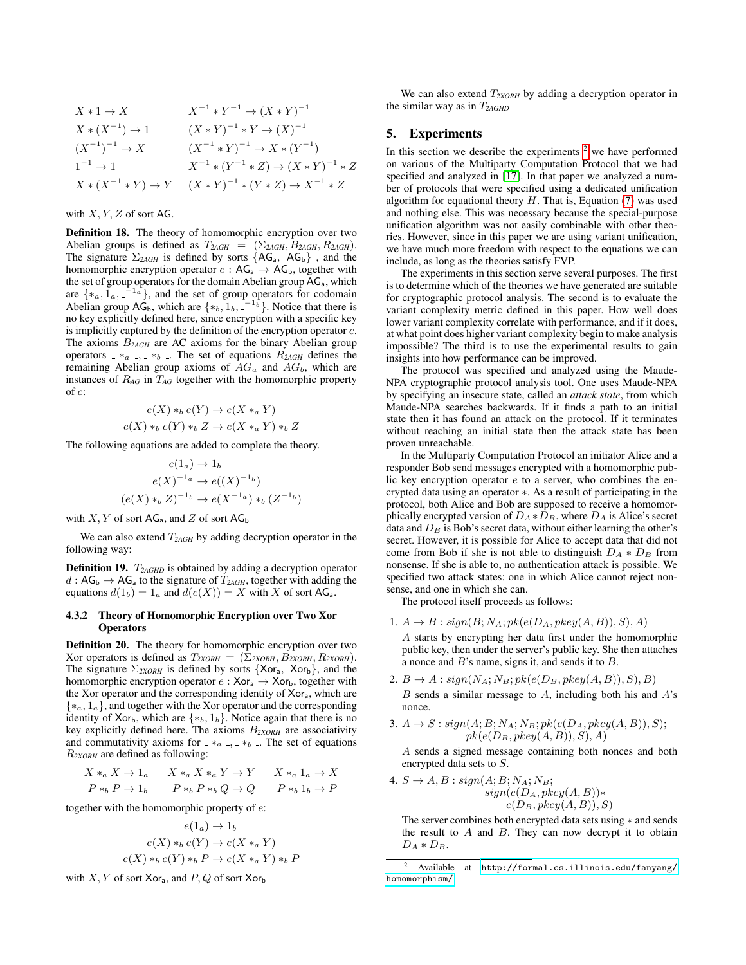$$
X * 1 \to X
$$
  
\n
$$
X * (X^{-1}) \to 1
$$
  
\n
$$
(X * Y)^{-1} * Y \to (X * Y)^{-1}
$$
  
\n
$$
(X^{-1})^{-1} \to X
$$
  
\n
$$
(X^{-1} * Y)^{-1} \to X * (Y^{-1})
$$
  
\n
$$
1^{-1} \to 1
$$
  
\n
$$
X * (X^{-1} * Y) \to Y
$$
  
\n
$$
(X * Y)^{-1} * (Y * Z) \to (X * Y)^{-1} * Z
$$
  
\n
$$
X * (X^{-1} * Y) \to Y
$$
  
\n
$$
(X * Y)^{-1} * (Y * Z) \to X^{-1} * Z
$$

## with  $X, Y, Z$  of sort AG.

Definition 18. The theory of homomorphic encryption over two Abelian groups is defined as  $T_{2AGH} = (\Sigma_{2AGH}, B_{2AGH}, R_{2AGH})$ . The signature  $\Sigma_{2AGH}$  is defined by sorts  ${AG_a, AG_b}$ , and the homomorphic encryption operator  $e : AG_a \rightarrow AG_b$ , together with the set of group operators for the domain Abelian group AG<sub>a</sub>, which are  $\{*_a, \overline{1}_a, \overline{-}^{1_a}\}$ , and the set of group operators for codomain Abelian group  $AG_b$ , which are  $\{*_b, 1_b, \_1_b, \_1_b\}$ . Notice that there is no key explicitly defined here, since encryption with a specific key is implicitly captured by the definition of the encryption operator e. The axioms B*2AGH* are AC axioms for the binary Abelian group operators  $- *_{a}$ ,  $- *_{b}$ . The set of equations  $R_{2AGH}$  defines the remaining Abelian group axioms of  $AG_a$  and  $AG_b$ , which are instances of R*AG* in T*AG* together with the homomorphic property of e:

$$
e(X) *_{b} e(Y) \rightarrow e(X *_{a} Y)
$$
  

$$
e(X) *_{b} e(Y) *_{b} Z \rightarrow e(X *_{a} Y) *_{b} Z
$$

The following equations are added to complete the theory.

$$
e(1_a) \to 1_b
$$
  
\n
$$
e(X)^{-1_a} \to e((X)^{-1_b})
$$
  
\n
$$
(e(X) *_{b} Z)^{-1_b} \to e(X^{-1_a}) *_{b} (Z^{-1_b})
$$

with X, Y of sort  $AG_a$ , and Z of sort  $AG_b$ 

We can also extend  $T_{2AGH}$  by adding decryption operator in the following way:

**Definition 19.**  $T_{2AGHD}$  is obtained by adding a decryption operator  $d : AG_{b} \rightarrow AG_{a}$  to the signature of  $T_{2AGH}$ , together with adding the equations  $d(1_b) = 1_a$  and  $d(e(X)) = X$  with X of sort AG<sub>a</sub>.

#### <span id="page-7-1"></span>4.3.2 Theory of Homomorphic Encryption over Two Xor **Operators**

Definition 20. The theory for homomorphic encryption over two Xor operators is defined as  $T_{2XORH} = (\Sigma_{2XORH}, B_{2XORH}, R_{2XORH}).$ The signature Σ*2XORH* is defined by sorts {Xora, Xorb}, and the homomorphic encryption operator  $e : Xor_a \rightarrow Xor_b$ , together with the Xor operator and the corresponding identity of Xora, which are  $\{*_a, 1_a\}$ , and together with the Xor operator and the corresponding identity of Xor<sub>b</sub>, which are  $\{*_b, 1_b\}$ . Notice again that there is no key explicitly defined here. The axioms B*2XORH* are associativity and commutativity axioms for  $- *a$ ,  $- *b$ . The set of equations R*2XORH* are defined as following:

$$
X *_{a} X \to 1_{a} \qquad X *_{a} X *_{a} Y \to Y \qquad X *_{a} 1_{a} \to X
$$
  

$$
P *_{b} P \to 1_{b} \qquad P *_{b} P *_{b} Q \to Q \qquad P *_{b} 1_{b} \to P
$$

together with the homomorphic property of e:

$$
e(1_a) \rightarrow 1_b
$$
  
\n
$$
e(X) *_{b} e(Y) \rightarrow e(X *_{a} Y)
$$
  
\n
$$
e(X) *_{b} e(Y) *_{b} P \rightarrow e(X *_{a} Y) *_{b} P
$$

with  $X, Y$  of sort Xor<sub>a</sub>, and  $P, Q$  of sort Xor<sub>b</sub>

We can also extend  $T_{2XORH}$  by adding a decryption operator in the similar way as in T*2AGHD*

# <span id="page-7-0"></span>5. Experiments

In this section we describe the experiments  $2$  we have performed on various of the Multiparty Computation Protocol that we had specified and analyzed in [\[17\]](#page-10-9). In that paper we analyzed a number of protocols that were specified using a dedicated unification algorithm for equational theory  $H$ . That is, Equation [\(7\)](#page-4-4) was used and nothing else. This was necessary because the special-purpose unification algorithm was not easily combinable with other theories. However, since in this paper we are using variant unification, we have much more freedom with respect to the equations we can include, as long as the theories satisfy FVP.

The experiments in this section serve several purposes. The first is to determine which of the theories we have generated are suitable for cryptographic protocol analysis. The second is to evaluate the variant complexity metric defined in this paper. How well does lower variant complexity correlate with performance, and if it does, at what point does higher variant complexity begin to make analysis impossible? The third is to use the experimental results to gain insights into how performance can be improved.

The protocol was specified and analyzed using the Maude-NPA cryptographic protocol analysis tool. One uses Maude-NPA by specifying an insecure state, called an *attack state*, from which Maude-NPA searches backwards. If it finds a path to an initial state then it has found an attack on the protocol. If it terminates without reaching an initial state then the attack state has been proven unreachable.

In the Multiparty Computation Protocol an initiator Alice and a responder Bob send messages encrypted with a homomorphic public key encryption operator e to a server, who combines the encrypted data using an operator ∗. As a result of participating in the protocol, both Alice and Bob are supposed to receive a homomorphically encrypted version of  $D_A * D_B$ , where  $D_A$  is Alice's secret data and  $D_B$  is Bob's secret data, without either learning the other's secret. However, it is possible for Alice to accept data that did not come from Bob if she is not able to distinguish  $D_A * D_B$  from nonsense. If she is able to, no authentication attack is possible. We specified two attack states: one in which Alice cannot reject nonsense, and one in which she can.

The protocol itself proceeds as follows:

1.  $A \to B : sign(B; N_A; pk(e(D_A, pkey(A, B)), S), A)$ 

A starts by encrypting her data first under the homomorphic public key, then under the server's public key. She then attaches a nonce and B's name, signs it, and sends it to B.

2.  $B \rightarrow A : sign(N_A; N_B; pk(e(D_B, pkey(A, B)), S), B)$  $B$  sends a similar message to  $A$ , including both his and  $A$ 's nonce.

3. 
$$
A \rightarrow S : sign(A; B; N_A; N_B; pk(e(D_A, pkey(A, B)), S);
$$
  
 $pk(e(D_B, pkey(A, B)), S), A)$ 

A sends a signed message containing both nonces and both encrypted data sets to S.

4. 
$$
S \rightarrow A, B
$$
: sign $(A; B; N_A; N_B;$   
\n
$$
sign(e(D_A, pkey(A, B)) * e(D_B, pkey(A, B)), S)
$$

The server combines both encrypted data sets using ∗ and sends the result to  $A$  and  $B$ . They can now decrypt it to obtain  $D_A * D_B$ .

<span id="page-7-2"></span><sup>2</sup> Available at [http://formal.cs.illinois.edu/fanyang/](http://formal.cs.illinois.edu/fanyang/homomorphism/) [homomorphism/](http://formal.cs.illinois.edu/fanyang/homomorphism/)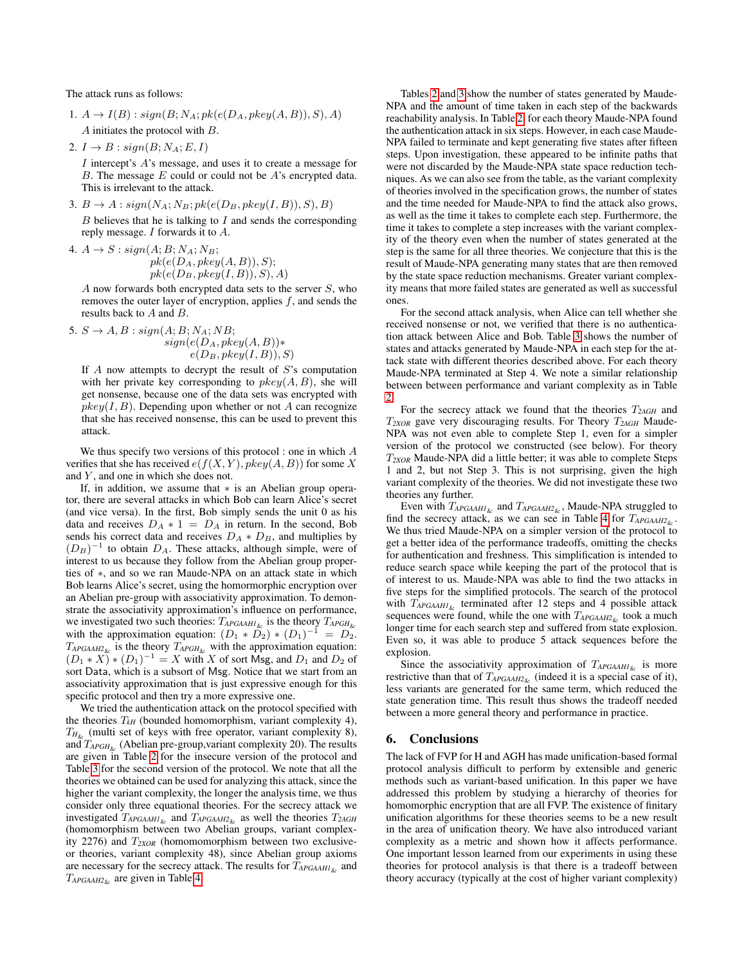The attack runs as follows:

- 1.  $A \rightarrow I(B)$ : sign(B; N<sub>A</sub>; pk(e(D<sub>A</sub>, pkey(A, B)), S), A) A initiates the protocol with B.
- 2.  $I \rightarrow B : sign(B; N_A; E, I)$

I intercept's A's message, and uses it to create a message for B. The message  $E$  could or could not be  $A$ 's encrypted data. This is irrelevant to the attack.

3.  $B \rightarrow A : sign(N_A; N_B; pk(e(D_B, pkey(I, B)), S), B)$ 

 $B$  believes that he is talking to  $I$  and sends the corresponding reply message. I forwards it to A.

4.  $A \rightarrow S$ :  $sign(A; B; N_A; N_B;$  $pk(e(D_A, pkey(A, B)), S);$  $pk(e(D_B, pkey(I, B)), S), A)$ 

 $A$  now forwards both encrypted data sets to the server  $S$ , who removes the outer layer of encryption, applies  $f$ , and sends the results back to A and B.

5. 
$$
S \rightarrow A, B : sign(A; B; N_A; NB;
$$
  
\n
$$
sign(e(D_A, pkey(A, B)) * e(D_B, pkey(I, B)), S)
$$

If  $A$  now attempts to decrypt the result of  $S$ 's computation with her private key corresponding to  $pkey(A, B)$ , she will get nonsense, because one of the data sets was encrypted with  $pkey(I, B)$ . Depending upon whether or not A can recognize that she has received nonsense, this can be used to prevent this attack.

We thus specify two versions of this protocol : one in which  $A$ verifies that she has received  $e(f(X, Y), pkey(A, B))$  for some X and Y, and one in which she does not.

If, in addition, we assume that ∗ is an Abelian group operator, there are several attacks in which Bob can learn Alice's secret (and vice versa). In the first, Bob simply sends the unit 0 as his data and receives  $D_A * 1 = D_A$  in return. In the second, Bob sends his correct data and receives  $D_A * D_B$ , and multiplies by  $(D_B)^{-1}$  to obtain  $D_A$ . These attacks, although simple, were of interest to us because they follow from the Abelian group properties of ∗, and so we ran Maude-NPA on an attack state in which Bob learns Alice's secret, using the homormorphic encryption over an Abelian pre-group with associativity approximation. To demonstrate the associativity approximation's influence on performance, we investigated two such theories: T*APGAAH1*& is the theory T*APGH*& with the approximation equation:  $(D_1 * \tilde{D_2}) * (D_1)^{-1} = D_2$ .  $T_{APGAAH2_{\&}}$  is the theory  $T_{APGH_{\&}}$  with the approximation equation:  $(D_1 * X) * (D_1)^{-1} = X$  with X of sort Msg, and  $D_1$  and  $D_2$  of sort Data, which is a subsort of Msg. Notice that we start from an associativity approximation that is just expressive enough for this specific protocol and then try a more expressive one.

We tried the authentication attack on the protocol specified with the theories  $T_{kH}$  (bounded homomorphism, variant complexity 4),  $T_{H_{\kappa}}$  (multi set of keys with free operator, variant complexity 8), and  $T_{APGH_{\&}}$  (Abelian pre-group, variant complexity 20). The results are given in Table [2](#page-9-13) for the insecure version of the protocol and Table [3](#page-9-14) for the second version of the protocol. We note that all the theories we obtained can be used for analyzing this attack, since the higher the variant complexity, the longer the analysis time, we thus consider only three equational theories. For the secrecy attack we investigated T*APGAAH1*& and T*APGAAH2*& as well the theories T*2AGH* (homomorphism between two Abelian groups, variant complexity 2276) and T*2XOR* (homomomorphism between two exclusiveor theories, variant complexity 48), since Abelian group axioms are necessary for the secrecy attack. The results for T*APGAAH1*& and T*APGAAH2*& are given in Table [4.](#page-9-15)

Tables [2](#page-9-13) and [3](#page-9-14) show the number of states generated by Maude-NPA and the amount of time taken in each step of the backwards reachability analysis. In Table [2,](#page-9-13) for each theory Maude-NPA found the authentication attack in six steps. However, in each case Maude-NPA failed to terminate and kept generating five states after fifteen steps. Upon investigation, these appeared to be infinite paths that were not discarded by the Maude-NPA state space reduction techniques. As we can also see from the table, as the variant complexity of theories involved in the specification grows, the number of states and the time needed for Maude-NPA to find the attack also grows, as well as the time it takes to complete each step. Furthermore, the time it takes to complete a step increases with the variant complexity of the theory even when the number of states generated at the step is the same for all three theories. We conjecture that this is the result of Maude-NPA generating many states that are then removed by the state space reduction mechanisms. Greater variant complexity means that more failed states are generated as well as successful ones.

For the second attack analysis, when Alice can tell whether she received nonsense or not, we verified that there is no authentication attack between Alice and Bob. Table [3](#page-9-14) shows the number of states and attacks generated by Maude-NPA in each step for the attack state with different theories described above. For each theory Maude-NPA terminated at Step 4. We note a similar relationship between between performance and variant complexity as in Table [2.](#page-9-13)

For the secrecy attack we found that the theories T*2AGH* and T*2XOR* gave very discouraging results. For Theory T*2AGH* Maude-NPA was not even able to complete Step 1, even for a simpler version of the protocol we constructed (see below). For theory T*2XOR* Maude-NPA did a little better; it was able to complete Steps 1 and 2, but not Step 3. This is not surprising, given the high variant complexity of the theories. We did not investigate these two theories any further.

Even with  $T_{APGAAH1_{\&}}$  and  $T_{APGAAH2_{\&}}$ , Maude-NPA struggled to find the secrecy attack, as we can see in Table [4](#page-9-15) for T*APGAAH2*& . We thus tried Maude-NPA on a simpler version of the protocol to get a better idea of the performance tradeoffs, omitting the checks for authentication and freshness. This simplification is intended to reduce search space while keeping the part of the protocol that is of interest to us. Maude-NPA was able to find the two attacks in five steps for the simplified protocols. The search of the protocol with  $T_{APGAAH1\&}$  terminated after 12 steps and 4 possible attack sequences were found, while the one with  $T_{APGAAH2_{\&}}$  took a much longer time for each search step and suffered from state explosion. Even so, it was able to produce 5 attack sequences before the explosion.

Since the associativity approximation of  $T_{APGAAHI\alpha}$  is more restrictive than that of  $T_{APGAAH2_{\&}}$  (indeed it is a special case of it), less variants are generated for the same term, which reduced the state generation time. This result thus shows the tradeoff needed between a more general theory and performance in practice.

#### <span id="page-8-0"></span>6. Conclusions

The lack of FVP for H and AGH has made unification-based formal protocol analysis difficult to perform by extensible and generic methods such as variant-based unification. In this paper we have addressed this problem by studying a hierarchy of theories for homomorphic encryption that are all FVP. The existence of finitary unification algorithms for these theories seems to be a new result in the area of unification theory. We have also introduced variant complexity as a metric and shown how it affects performance. One important lesson learned from our experiments in using these theories for protocol analysis is that there is a tradeoff between theory accuracy (typically at the cost of higher variant complexity)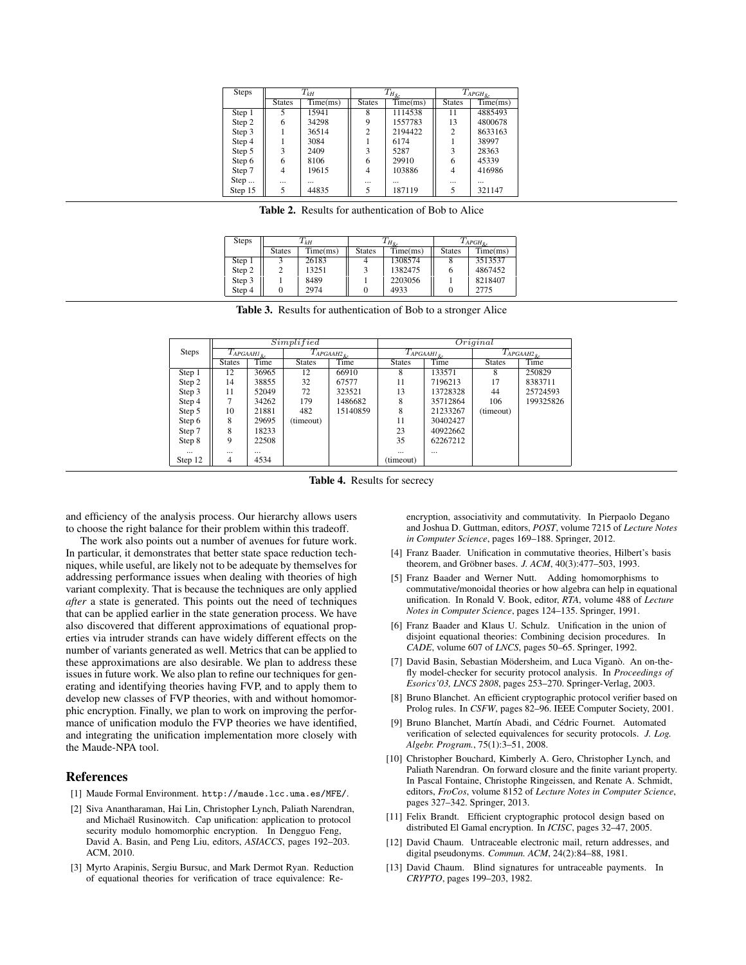| <b>Steps</b> | $T_{kH}$      |          | $T_{H_{\underline{\ell}\nu}}$ |                                     | $\overline{T}_{AP\underline{GH}_{\&}}$ |          |
|--------------|---------------|----------|-------------------------------|-------------------------------------|----------------------------------------|----------|
|              | <b>States</b> | Time(ms) | <b>States</b>                 | $\overline{\text{Time}}(\text{ms})$ | <b>States</b>                          | Time(ms) |
| Step 1       | 5             | 15941    | 8                             | 1114538                             | 11                                     | 4885493  |
| Step 2       | 6             | 34298    | 9                             | 1557783                             | 13                                     | 4800678  |
| Step 3       |               | 36514    | $\overline{c}$                | 2194422                             | $\overline{2}$                         | 8633163  |
| Step 4       |               | 3084     |                               | 6174                                |                                        | 38997    |
| Step 5       | 3             | 2409     | 3                             | 5287                                | 3                                      | 28363    |
| Step 6       | 6             | 8106     | 6                             | 29910                               | 6                                      | 45339    |
| Step 7       | 4             | 19615    | 4                             | 103886                              | 4                                      | 416986   |
| Step         | $\cdots$      | $\cdots$ | $\cdots$                      | $\cdots$                            | $\cdots$                               | $\cdots$ |
| Step 15      | 5             | 44835    | 5                             | 187119                              | 5                                      | 321147   |
|              |               |          |                               |                                     |                                        |          |

<span id="page-9-13"></span>Table 2. Results for authentication of Bob to Alice

| <b>Steps</b> | $T_{kH}$      |          |               | 1 Но.    | $T_{APGH}$ <sub>o</sub> |          |
|--------------|---------------|----------|---------------|----------|-------------------------|----------|
|              | <b>States</b> | Time(ms) | <b>States</b> | Time(ms) | <b>States</b>           | Time(ms) |
| Step 1       |               | 26183    |               | 1308574  |                         | 3513537  |
| Step 2       |               | 13251    |               | 1382475  |                         | 4867452  |
| Step 3       |               | 8489     |               | 2203056  |                         | 8218407  |
| Step 4       |               | 2974     |               | 4933     |                         | 2775     |

<span id="page-9-14"></span>Table 3. Results for authentication of Bob to a stronger Alice

|              | Simplified                    |          |                          | Original |                               |          |                               |           |
|--------------|-------------------------------|----------|--------------------------|----------|-------------------------------|----------|-------------------------------|-----------|
| <b>Steps</b> | $\overline{T_{APGANHI}}_{\&}$ |          | $\bar{T}_{APGAAH2_{\&}}$ |          | $\overline{T_{APGAAHI}}_{\&}$ |          | $\overline{T_{APGAAH2_{\&}}}$ |           |
|              | <b>States</b>                 | Time     | <b>States</b>            | Time     | <b>States</b>                 | Time     | <b>States</b>                 | Time      |
| Step 1       | 12                            | 36965    | 12                       | 66910    | 8                             | 133571   | 8                             | 250829    |
| Step 2       | 14                            | 38855    | 32                       | 67577    | 11                            | 7196213  | 17                            | 8383711   |
| Step 3       | 11                            | 52049    | 72                       | 323521   | 13                            | 13728328 | 44                            | 25724593  |
| Step 4       |                               | 34262    | 179                      | 1486682  | 8                             | 35712864 | 106                           | 199325826 |
| Step 5       | 10                            | 21881    | 482                      | 15140859 | 8                             | 21233267 | (timeout)                     |           |
| Step 6       | 8                             | 29695    | (timeout)                |          | 11                            | 30402427 |                               |           |
| Step 7       | 8                             | 18233    |                          |          | 23                            | 40922662 |                               |           |
| Step 8       | 9                             | 22508    |                          |          | 35                            | 62267212 |                               |           |
| $\cdots$     | $\cdots$                      | $\cdots$ |                          |          | $\cdots$                      | $\cdots$ |                               |           |
| Step 12      | 4                             | 4534     |                          |          | (timeout)                     |          |                               |           |

<span id="page-9-15"></span>Table 4. Results for secrecy

and efficiency of the analysis process. Our hierarchy allows users to choose the right balance for their problem within this tradeoff.

The work also points out a number of avenues for future work. In particular, it demonstrates that better state space reduction techniques, while useful, are likely not to be adequate by themselves for addressing performance issues when dealing with theories of high variant complexity. That is because the techniques are only applied *after* a state is generated. This points out the need of techniques that can be applied earlier in the state generation process. We have also discovered that different approximations of equational properties via intruder strands can have widely different effects on the number of variants generated as well. Metrics that can be applied to these approximations are also desirable. We plan to address these issues in future work. We also plan to refine our techniques for generating and identifying theories having FVP, and to apply them to develop new classes of FVP theories, with and without homomorphic encryption. Finally, we plan to work on improving the performance of unification modulo the FVP theories we have identified, and integrating the unification implementation more closely with the Maude-NPA tool.

## References

- <span id="page-9-6"></span>[1] Maude Formal Environment. http://maude.lcc.uma.es/MFE/.
- <span id="page-9-9"></span>[2] Siva Anantharaman, Hai Lin, Christopher Lynch, Paliath Narendran, and Michaël Rusinowitch. Cap unification: application to protocol security modulo homomorphic encryption. In Dengguo Feng, David A. Basin, and Peng Liu, editors, *ASIACCS*, pages 192–203. ACM, 2010.
- <span id="page-9-0"></span>[3] Myrto Arapinis, Sergiu Bursuc, and Mark Dermot Ryan. Reduction of equational theories for verification of trace equivalence: Re-

encryption, associativity and commutativity. In Pierpaolo Degano and Joshua D. Guttman, editors, *POST*, volume 7215 of *Lecture Notes in Computer Science*, pages 169–188. Springer, 2012.

- <span id="page-9-10"></span>[4] Franz Baader. Unification in commutative theories, Hilbert's basis theorem, and Gröbner bases. *J. ACM*, 40(3):477-503, 1993.
- <span id="page-9-11"></span>[5] Franz Baader and Werner Nutt. Adding homomorphisms to commutative/monoidal theories or how algebra can help in equational unification. In Ronald V. Book, editor, *RTA*, volume 488 of *Lecture Notes in Computer Science*, pages 124–135. Springer, 1991.
- <span id="page-9-7"></span>[6] Franz Baader and Klaus U. Schulz. Unification in the union of disjoint equational theories: Combining decision procedures. In *CADE*, volume 607 of *LNCS*, pages 50–65. Springer, 1992.
- <span id="page-9-1"></span>[7] David Basin, Sebastian Mödersheim, and Luca Viganò. An on-thefly model-checker for security protocol analysis. In *Proceedings of Esorics'03, LNCS 2808*, pages 253–270. Springer-Verlag, 2003.
- <span id="page-9-2"></span>[8] Bruno Blanchet. An efficient cryptographic protocol verifier based on Prolog rules. In *CSFW*, pages 82–96. IEEE Computer Society, 2001.
- <span id="page-9-8"></span>[9] Bruno Blanchet, Martín Abadi, and Cédric Fournet. Automated verification of selected equivalences for security protocols. *J. Log. Algebr. Program.*, 75(1):3–51, 2008.
- <span id="page-9-5"></span>[10] Christopher Bouchard, Kimberly A. Gero, Christopher Lynch, and Paliath Narendran. On forward closure and the finite variant property. In Pascal Fontaine, Christophe Ringeissen, and Renate A. Schmidt, editors, *FroCos*, volume 8152 of *Lecture Notes in Computer Science*, pages 327–342. Springer, 2013.
- <span id="page-9-12"></span>[11] Felix Brandt. Efficient cryptographic protocol design based on distributed El Gamal encryption. In *ICISC*, pages 32–47, 2005.
- <span id="page-9-4"></span>[12] David Chaum. Untraceable electronic mail, return addresses, and digital pseudonyms. *Commun. ACM*, 24(2):84–88, 1981.
- <span id="page-9-3"></span>[13] David Chaum. Blind signatures for untraceable payments. In *CRYPTO*, pages 199–203, 1982.